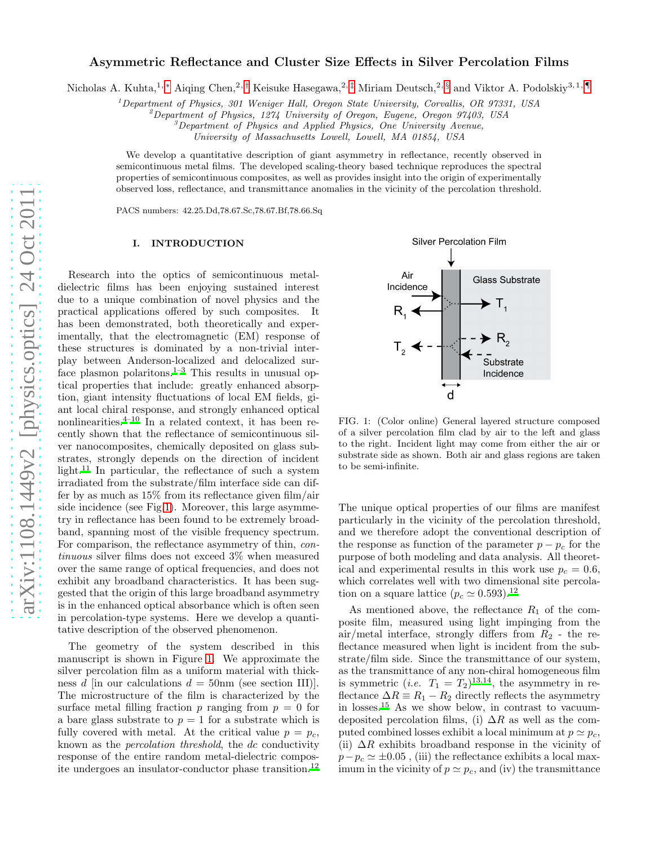# Asymmetric Reflectance and Cluster Size Effects in Silver Percolation Films

Nicholas A. Kuhta,<sup>1,\*</sup> Aiqing Chen,<sup>2,[†](#page-4-1)</sup> Keisuke Hasegawa,<sup>2,[‡](#page-4-2)</sup> Miriam Deutsch,<sup>2, [§](#page-4-3)</sup> and Viktor A. Podolskiy<sup>3,1,[¶](#page-4-4)</sup>

<sup>1</sup>Department of Physics, 301 Weniger Hall, Oregon State University, Corvallis, OR 97331, USA

<sup>2</sup>Department of Physics, 1274 University of Oregon, Eugene, Oregon 97403, USA

 ${}^{3}$ Department of Physics and Applied Physics, One University Avenue,

University of Massachusetts Lowell, Lowell, MA 01854, USA

We develop a quantitative description of giant asymmetry in reflectance, recently observed in semicontinuous metal films. The developed scaling-theory based technique reproduces the spectral properties of semicontinuous composites, as well as provides insight into the origin of experimentally observed loss, reflectance, and transmittance anomalies in the vicinity of the percolation threshold.

PACS numbers: 42.25.Dd,78.67.Sc,78.67.Bf,78.66.Sq

#### I. INTRODUCTION

Research into the optics of semicontinuous metaldielectric films has been enjoying sustained interest due to a unique combination of novel physics and the practical applications offered by such composites. It has been demonstrated, both theoretically and experimentally, that the electromagnetic (EM) response of these structures is dominated by a non-trivial interplay between Anderson-localized and delocalized sur-face plasmon polaritons.<sup>[1](#page-4-5)[–3](#page-4-6)</sup> This results in unusual optical properties that include: greatly enhanced absorption, giant intensity fluctuations of local EM fields, giant local chiral response, and strongly enhanced optical nonlinearities. $4^{-10}$  $4^{-10}$  In a related context, it has been recently shown that the reflectance of semicontinuous silver nanocomposites, chemically deposited on glass substrates, strongly depends on the direction of incident light.<sup>[11](#page-4-9)</sup> In particular, the reflectance of such a system irradiated from the substrate/film interface side can differ by as much as 15% from its reflectance given film/air side incidence (see Fig[.1\)](#page-0-0). Moreover, this large asymmetry in reflectance has been found to be extremely broadband, spanning most of the visible frequency spectrum. For comparison, the reflectance asymmetry of thin, *con*tinuous silver films does not exceed 3% when measured over the same range of optical frequencies, and does not exhibit any broadband characteristics. It has been suggested that the origin of this large broadband asymmetry is in the enhanced optical absorbance which is often seen in percolation-type systems. Here we develop a quantitative description of the observed phenomenon.

The geometry of the system described in this manuscript is shown in Figure [1.](#page-0-0) We approximate the silver percolation film as a uniform material with thickness d [in our calculations  $d = 50$ nm (see section III)]. The microstructure of the film is characterized by the surface metal filling fraction p ranging from  $p = 0$  for a bare glass substrate to  $p = 1$  for a substrate which is fully covered with metal. At the critical value  $p = p_c$ , known as the percolation threshold, the dc conductivity response of the entire random metal-dielectric composite undergoes an insulator-conductor phase transition.[12](#page-4-10)



<span id="page-0-0"></span>FIG. 1: (Color online) General layered structure composed of a silver percolation film clad by air to the left and glass to the right. Incident light may come from either the air or substrate side as shown. Both air and glass regions are taken to be semi-infinite.

The unique optical properties of our films are manifest particularly in the vicinity of the percolation threshold, and we therefore adopt the conventional description of the response as function of the parameter  $p - p_c$  for the purpose of both modeling and data analysis. All theoretical and experimental results in this work use  $p_c = 0.6$ , which correlates well with two dimensional site percolation on a square lattice  $(p_c \simeq 0.593).^{12}$  $(p_c \simeq 0.593).^{12}$  $(p_c \simeq 0.593).^{12}$ 

As mentioned above, the reflectance  $R_1$  of the composite film, measured using light impinging from the air/metal interface, strongly differs from  $R_2$  - the reflectance measured when light is incident from the substrate/film side. Since the transmittance of our system, as the transmittance of any non-chiral homogeneous film is symmetric (*i.e.*  $T_1 = T_2$ )<sup>[13](#page-4-11)[,14](#page-4-12)</sup>, the asymmetry in reflectance  $\Delta R = R_1 - R_2$  directly reflects the asymmetry in losses.[15](#page-4-13) As we show below, in contrast to vacuumdeposited percolation films, (i)  $\Delta R$  as well as the computed combined losses exhibit a local minimum at  $p \simeq p_c$ , (ii)  $\Delta R$  exhibits broadband response in the vicinity of  $p-p_c \simeq \pm 0.05$ , (iii) the reflectance exhibits a local maximum in the vicinity of  $p \simeq p_c$ , and (iv) the transmittance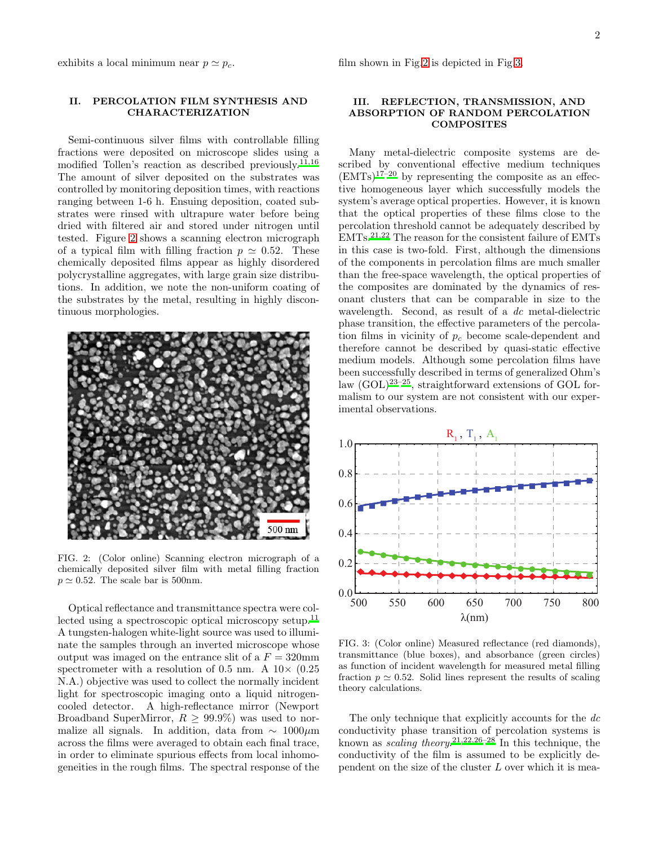exhibits a local minimum near  $p \simeq p_c$ .

## II. PERCOLATION FILM SYNTHESIS AND CHARACTERIZATION

Semi-continuous silver films with controllable filling fractions were deposited on microscope slides using a modified Tollen's reaction as described previously.[11](#page-4-9)[,16](#page-4-14) The amount of silver deposited on the substrates was controlled by monitoring deposition times, with reactions ranging between 1-6 h. Ensuing deposition, coated substrates were rinsed with ultrapure water before being dried with filtered air and stored under nitrogen until tested. Figure [2](#page-1-0) shows a scanning electron micrograph of a typical film with filling fraction  $p \simeq 0.52$ . These chemically deposited films appear as highly disordered polycrystalline aggregates, with large grain size distributions. In addition, we note the non-uniform coating of the substrates by the metal, resulting in highly discontinuous morphologies.



FIG. 2: (Color online) Scanning electron micrograph of a chemically deposited silver film with metal filling fraction  $p \simeq 0.52$ . The scale bar is 500nm.

<span id="page-1-0"></span>Optical reflectance and transmittance spectra were col-lected using a spectroscopic optical microscopy setup.<sup>[11](#page-4-9)</sup> A tungsten-halogen white-light source was used to illuminate the samples through an inverted microscope whose output was imaged on the entrance slit of a  $F = 320$ mm spectrometer with a resolution of 0.5 nm. A  $10\times$  (0.25) N.A.) objective was used to collect the normally incident light for spectroscopic imaging onto a liquid nitrogencooled detector. A high-reflectance mirror (Newport Broadband SuperMirror,  $R > 99.9\%$  was used to normalize all signals. In addition, data from  $\sim 1000 \mu m$ across the films were averaged to obtain each final trace, in order to eliminate spurious effects from local inhomogeneities in the rough films. The spectral response of the

## III. REFLECTION, TRANSMISSION, AND ABSORPTION OF RANDOM PERCOLATION **COMPOSITES**

Many metal-dielectric composite systems are described by conventional effective medium techniques  $(EMTs)^{17-20}$  $(EMTs)^{17-20}$  $(EMTs)^{17-20}$  by representing the composite as an effective homogeneous layer which successfully models the system's average optical properties. However, it is known that the optical properties of these films close to the percolation threshold cannot be adequately described by EMTs.[21](#page-4-17)[,22](#page-4-18) The reason for the consistent failure of EMTs in this case is two-fold. First, although the dimensions of the components in percolation films are much smaller than the free-space wavelength, the optical properties of the composites are dominated by the dynamics of resonant clusters that can be comparable in size to the wavelength. Second, as result of a dc metal-dielectric phase transition, the effective parameters of the percolation films in vicinity of  $p_c$  become scale-dependent and therefore cannot be described by quasi-static effective medium models. Although some percolation films have been successfully described in terms of generalized Ohm's law  $(GOL)^{23-25}$  $(GOL)^{23-25}$  $(GOL)^{23-25}$ , straightforward extensions of GOL formalism to our system are not consistent with our experimental observations.



<span id="page-1-1"></span>FIG. 3: (Color online) Measured reflectance (red diamonds), transmittance (blue boxes), and absorbance (green circles) as function of incident wavelength for measured metal filling fraction  $p \approx 0.52$ . Solid lines represent the results of scaling theory calculations.

The only technique that explicitly accounts for the dc conductivity phase transition of percolation systems is known as *scaling theory*.<sup>[21](#page-4-17)[,22](#page-4-18)[,26](#page-5-2)[–28](#page-5-3)</sup> In this technique, the conductivity of the film is assumed to be explicitly dependent on the size of the cluster L over which it is mea-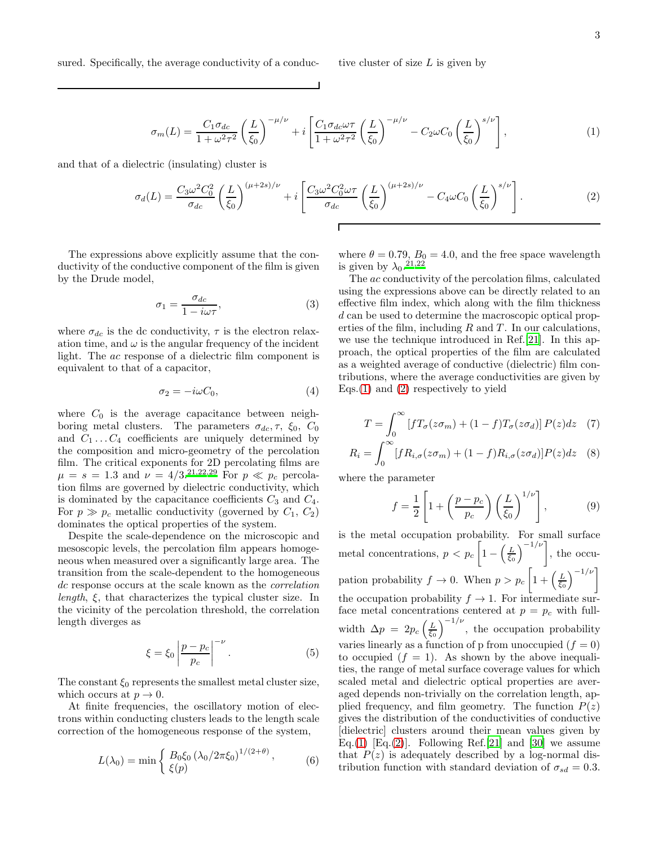<span id="page-2-0"></span>
$$
\sigma_m(L) = \frac{C_1 \sigma_{dc}}{1 + \omega^2 \tau^2} \left(\frac{L}{\xi_0}\right)^{-\mu/\nu} + i \left[\frac{C_1 \sigma_{dc} \omega \tau}{1 + \omega^2 \tau^2} \left(\frac{L}{\xi_0}\right)^{-\mu/\nu} - C_2 \omega C_0 \left(\frac{L}{\xi_0}\right)^{s/\nu}\right],\tag{1}
$$

and that of a dielectric (insulating) cluster is

<span id="page-2-1"></span>
$$
\sigma_d(L) = \frac{C_3 \omega^2 C_0^2}{\sigma_{dc}} \left(\frac{L}{\xi_0}\right)^{(\mu+2s)/\nu} + i \left[\frac{C_3 \omega^2 C_0^2 \omega \tau}{\sigma_{dc}} \left(\frac{L}{\xi_0}\right)^{(\mu+2s)/\nu} - C_4 \omega C_0 \left(\frac{L}{\xi_0}\right)^{s/\nu}\right].
$$
\n(2)

The expressions above explicitly assume that the conductivity of the conductive component of the film is given by the Drude model,

$$
\sigma_1 = \frac{\sigma_{dc}}{1 - i\omega\tau},\tag{3}
$$

where  $\sigma_{dc}$  is the dc conductivity,  $\tau$  is the electron relaxation time, and  $\omega$  is the angular frequency of the incident light. The ac response of a dielectric film component is equivalent to that of a capacitor,

$$
\sigma_2 = -i\omega C_0,\tag{4}
$$

where  $C_0$  is the average capacitance between neighboring metal clusters. The parameters  $\sigma_{dc}$ ,  $\tau$ ,  $\xi_0$ ,  $C_0$ and  $C_1 \ldots C_4$  coefficients are uniquely determined by the composition and micro-geometry of the percolation film. The critical exponents for 2D percolating films are  $\mu = s = 1.3$  and  $\nu = 4/3^{21,22,29}$  $\nu = 4/3^{21,22,29}$  $\nu = 4/3^{21,22,29}$  $\nu = 4/3^{21,22,29}$  $\nu = 4/3^{21,22,29}$  For  $p \ll p_c$  percolation films are governed by dielectric conductivity, which is dominated by the capacitance coefficients  $C_3$  and  $C_4$ . For  $p \gg p_c$  metallic conductivity (governed by  $C_1, C_2$ ) dominates the optical properties of the system.

Despite the scale-dependence on the microscopic and mesoscopic levels, the percolation film appears homogeneous when measured over a significantly large area. The transition from the scale-dependent to the homogeneous dc response occurs at the scale known as the *correlation* length, ξ, that characterizes the typical cluster size. In the vicinity of the percolation threshold, the correlation length diverges as

$$
\xi = \xi_0 \left| \frac{p - p_c}{p_c} \right|^{-\nu}.
$$
\n(5)

The constant  $\xi_0$  represents the smallest metal cluster size, which occurs at  $p \to 0$ .

At finite frequencies, the oscillatory motion of electrons within conducting clusters leads to the length scale correction of the homogeneous response of the system,

$$
L(\lambda_0) = \min \left\{ \frac{B_0 \xi_0 \left( \lambda_0 / 2\pi \xi_0 \right)^{1/(2+\theta)}}{\xi(p)} \right\},\tag{6}
$$

where  $\theta = 0.79$ ,  $B_0 = 4.0$ , and the free space wavelength is given by  $\lambda_0$ .<sup>[21](#page-4-17)[,22](#page-4-18)</sup>

The ac conductivity of the percolation films, calculated using the expressions above can be directly related to an effective film index, which along with the film thickness d can be used to determine the macroscopic optical properties of the film, including  $R$  and  $T$ . In our calculations, we use the technique introduced in Ref.[\[21\]](#page-4-17). In this approach, the optical properties of the film are calculated as a weighted average of conductive (dielectric) film contributions, where the average conductivities are given by Eqs.[\(1\)](#page-2-0) and [\(2\)](#page-2-1) respectively to yield

$$
T = \int_0^\infty \left[ f T_\sigma(z \sigma_m) + (1 - f) T_\sigma(z \sigma_d) \right] P(z) dz \quad (7)
$$

$$
R_i = \int_0^\infty [fR_{i,\sigma}(z\sigma_m) + (1-f)R_{i,\sigma}(z\sigma_d)]P(z)dz \quad (8)
$$

where the parameter

$$
f = \frac{1}{2} \left[ 1 + \left( \frac{p - p_c}{p_c} \right) \left( \frac{L}{\xi_0} \right)^{1/\nu} \right],\tag{9}
$$

is the metal occupation probability. For small surface metal concentrations,  $p < p_c \left[1 - \left(\frac{L}{\xi_0}\right)^{-1/\nu}\right]$ , the occupation probability  $f \to 0$ . When  $p > p_c \left[1 + \left(\frac{L}{\xi_0}\right)^{-1/\nu}\right]$ the occupation probability  $f \to 1$ . For intermediate surface metal concentrations centered at  $p = p_c$  with fullwidth  $\Delta p = 2p_c \left(\frac{L}{\xi_0}\right)^{-1/\nu}$ , the occupation probability varies linearly as a function of p from unoccupied  $(f = 0)$ to occupied  $(f = 1)$ . As shown by the above inequalities, the range of metal surface coverage values for which scaled metal and dielectric optical properties are averaged depends non-trivially on the correlation length, applied frequency, and film geometry. The function  $P(z)$ gives the distribution of the conductivities of conductive [dielectric] clusters around their mean values given by Eq.[\(1\)](#page-2-0) [Eq.[\(2\)](#page-2-1)]. Following Ref.[\[21](#page-4-17)] and [\[30](#page-5-5)] we assume that  $P(z)$  is adequately described by a log-normal distribution function with standard deviation of  $\sigma_{sd} = 0.3$ .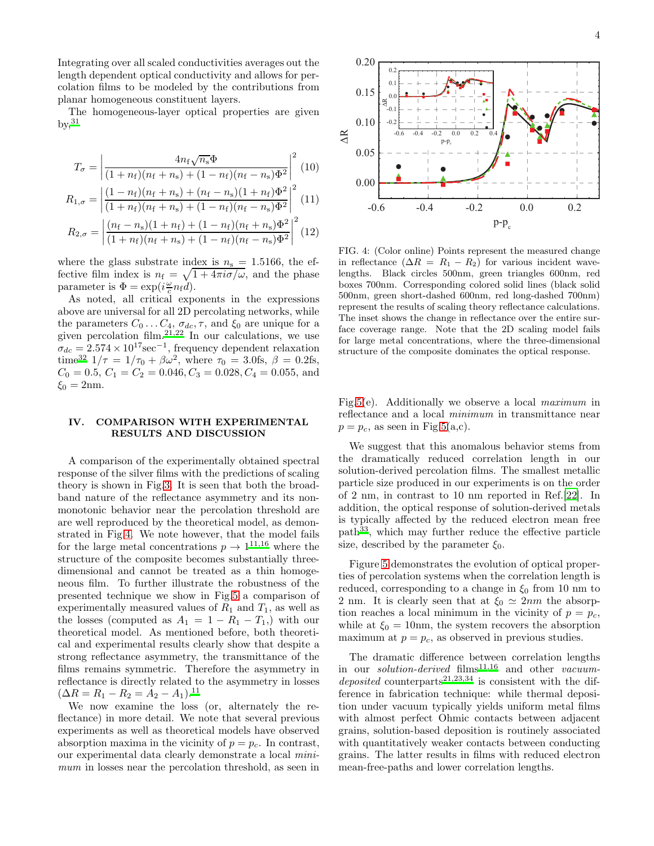Integrating over all scaled conductivities averages out the length dependent optical conductivity and allows for percolation films to be modeled by the contributions from planar homogeneous constituent layers.

The homogeneous-layer optical properties are given  $by, <sup>31</sup>$  $by, <sup>31</sup>$  $by, <sup>31</sup>$ 

$$
T_{\sigma} = \left| \frac{4n_{\rm f}\sqrt{n_{\rm s}}\Phi}{(1+n_{\rm f})(n_{\rm f}+n_{\rm s}) + (1-n_{\rm f})(n_{\rm f}-n_{\rm s})\Phi^2} \right|^2 (10)
$$

$$
R_{1,\sigma} = \left| \frac{(1 - n_{\rm f})(n_{\rm f} + n_{\rm s}) + (n_{\rm f} - n_{\rm s})(1 + n_{\rm f})\Phi^2}{(1 + n_{\rm f})(n_{\rm f} + n_{\rm s}) + (1 - n_{\rm f})(n_{\rm f} - n_{\rm s})\Phi^2} \right|^2 (11)
$$

$$
R_{2,\sigma} = \left| \frac{(n_{\rm f} - n_{\rm s})(1 + n_{\rm f}) + (1 - n_{\rm f})(n_{\rm f} + n_{\rm s})\Phi^2}{(1 + n_{\rm f})(n_{\rm f} + n_{\rm s}) + (1 - n_{\rm f})(n_{\rm f} - n_{\rm s})\Phi^2} \right|^2 (12)
$$

where the glass substrate index is  $n_s = 1.5166$ , the effective film index is  $n_f = \sqrt{1 + 4\pi i \sigma/\omega}$ , and the phase parameter is  $\Phi = \exp(i\frac{\omega}{c}n_{\rm f}d)$ .

As noted, all critical exponents in the expressions above are universal for all 2D percolating networks, while the parameters  $C_0 \ldots C_4$ ,  $\sigma_{dc}$ ,  $\tau$ , and  $\xi_0$  are unique for a given percolation film.<sup>[21](#page-4-17)[,22](#page-4-18)</sup> In our calculations, we use  $\sigma_{dc} = 2.574 \times 10^{17} \text{sec}^{-1}$ , frequency dependent relaxation time<sup>[32](#page-5-7)</sup>  $1/\tau = 1/\tau_0 + \beta \omega^2$ , where  $\tau_0 = 3.0$ fs,  $\beta = 0.2$ fs,  $C_0 = 0.5, C_1 = C_2 = 0.046, C_3 = 0.028, C_4 = 0.055,$  and  $\xi_0 = 2 \text{nm}$ .

## IV. COMPARISON WITH EXPERIMENTAL RESULTS AND DISCUSSION

A comparison of the experimentally obtained spectral response of the silver films with the predictions of scaling theory is shown in Fig[.3.](#page-1-1) It is seen that both the broadband nature of the reflectance asymmetry and its nonmonotonic behavior near the percolation threshold are are well reproduced by the theoretical model, as demonstrated in Fig[.4.](#page-3-0) We note however, that the model fails for the large metal concentrations  $p \to 1^{11,16}$  $p \to 1^{11,16}$  $p \to 1^{11,16}$  $p \to 1^{11,16}$  where the structure of the composite becomes substantially threedimensional and cannot be treated as a thin homogeneous film. To further illustrate the robustness of the presented technique we show in Fig[.5](#page-4-19) a comparison of experimentally measured values of  $R_1$  and  $T_1$ , as well as the losses (computed as  $A_1 = 1 - R_1 - T_1$ ) with our theoretical model. As mentioned before, both theoretical and experimental results clearly show that despite a strong reflectance asymmetry, the transmittance of the films remains symmetric. Therefore the asymmetry in reflectance is directly related to the asymmetry in losses  $(\Delta R = R_1 - R_2 = A_2 - A_1).$ <sup>[11](#page-4-9)</sup>

We now examine the loss (or, alternately the reflectance) in more detail. We note that several previous experiments as well as theoretical models have observed absorption maxima in the vicinity of  $p = p_c$ . In contrast, our experimental data clearly demonstrate a local minimum in losses near the percolation threshold, as seen in



<span id="page-3-0"></span>FIG. 4: (Color online) Points represent the measured change in reflectance  $(\Delta R = R_1 - R_2)$  for various incident wavelengths. Black circles 500nm, green triangles 600nm, red boxes 700nm. Corresponding colored solid lines (black solid 500nm, green short-dashed 600nm, red long-dashed 700nm) represent the results of scaling theory reflectance calculations. The inset shows the change in reflectance over the entire surface coverage range. Note that the 2D scaling model fails for large metal concentrations, where the three-dimensional structure of the composite dominates the optical response.

Fig[.5\(](#page-4-19)e). Additionally we observe a local maximum in reflectance and a local minimum in transmittance near  $p = p_c$ , as seen in Fig[.5\(](#page-4-19)a,c).

We suggest that this anomalous behavior stems from the dramatically reduced correlation length in our solution-derived percolation films. The smallest metallic particle size produced in our experiments is on the order of 2 nm, in contrast to 10 nm reported in Ref.[\[22](#page-4-18)]. In addition, the optical response of solution-derived metals is typically affected by the reduced electron mean free path[33](#page-5-8), which may further reduce the effective particle size, described by the parameter  $\xi_0$ .

Figure [5](#page-4-19) demonstrates the evolution of optical properties of percolation systems when the correlation length is reduced, corresponding to a change in  $\xi_0$  from 10 nm to 2 nm. It is clearly seen that at  $\xi_0 \simeq 2nm$  the absorption reaches a local minimum in the vicinity of  $p = p_c$ , while at  $\xi_0 = 10$  nm, the system recovers the absorption maximum at  $p = p_c$ , as observed in previous studies.

The dramatic difference between correlation lengths in our *solution-derived*  $\text{films}^{11,16}$  $\text{films}^{11,16}$  $\text{films}^{11,16}$  $\text{films}^{11,16}$  and other *vacuum*-deposited counterparts<sup>[21](#page-4-17)[,23](#page-5-0)[,34](#page-5-9)</sup> is consistent with the difference in fabrication technique: while thermal deposition under vacuum typically yields uniform metal films with almost perfect Ohmic contacts between adjacent grains, solution-based deposition is routinely associated with quantitatively weaker contacts between conducting grains. The latter results in films with reduced electron mean-free-paths and lower correlation lengths.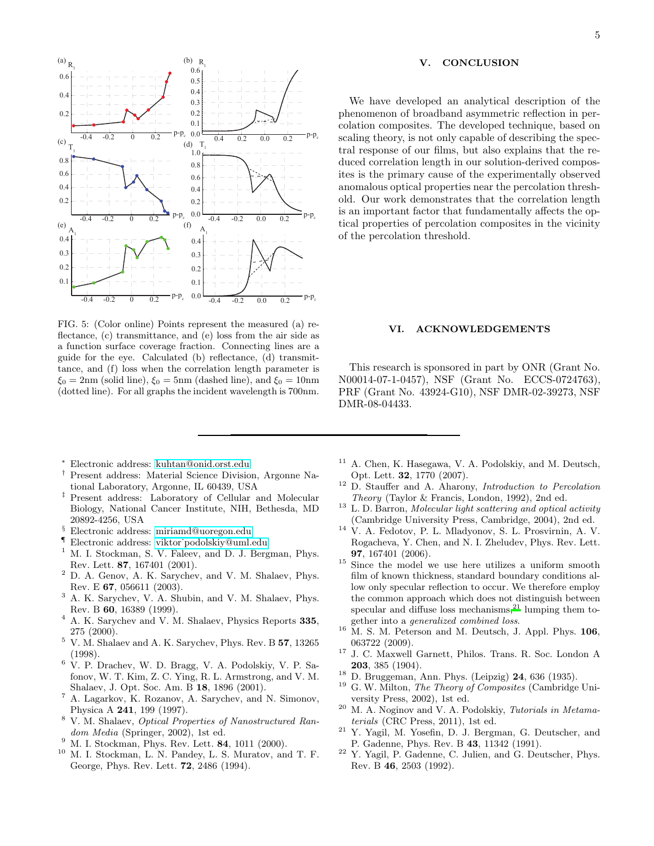

<span id="page-4-19"></span>FIG. 5: (Color online) Points represent the measured (a) reflectance, (c) transmittance, and (e) loss from the air side as a function surface coverage fraction. Connecting lines are a guide for the eye. Calculated (b) reflectance, (d) transmittance, and (f) loss when the correlation length parameter is  $\xi_0 = 2 \text{nm}$  (solid line),  $\xi_0 = 5 \text{nm}$  (dashed line), and  $\xi_0 = 10 \text{nm}$ (dotted line). For all graphs the incident wavelength is 700nm.

### V. CONCLUSION

We have developed an analytical description of the phenomenon of broadband asymmetric reflection in percolation composites. The developed technique, based on scaling theory, is not only capable of describing the spectral response of our films, but also explains that the reduced correlation length in our solution-derived composites is the primary cause of the experimentally observed anomalous optical properties near the percolation threshold. Our work demonstrates that the correlation length is an important factor that fundamentally affects the optical properties of percolation composites in the vicinity of the percolation threshold.

#### VI. ACKNOWLEDGEMENTS

This research is sponsored in part by ONR (Grant No. N00014-07-1-0457), NSF (Grant No. ECCS-0724763), PRF (Grant No. 43924-G10), NSF DMR-02-39273, NSF DMR-08-04433.

- <sup>∗</sup> Electronic address: [kuhtan@onid.orst.edu](mailto:kuhtan@onid.orst.edu)
- <span id="page-4-1"></span><span id="page-4-0"></span>† Present address: Material Science Division, Argonne National Laboratory, Argonne, IL 60439, USA
- <span id="page-4-2"></span>‡ Present address: Laboratory of Cellular and Molecular Biology, National Cancer Institute, NIH, Bethesda, MD 20892-4256, USA
- § Electronic address: [miriamd@uoregon.edu](mailto:miriamd@uoregon.edu)
- <span id="page-4-3"></span>F Electronic address: viktor podolskiy@uml.edu
- <span id="page-4-5"></span><span id="page-4-4"></span>M. I. Stockman, S. V. Faleev, and D. J. Bergman, Phys. Rev. Lett. 87, 167401 (2001).
- <sup>2</sup> D. A. Genov, A. K. Sarychev, and V. M. Shalaev, Phys. Rev. E 67, 056611 (2003).
- <span id="page-4-6"></span><sup>3</sup> A. K. Sarychev, V. A. Shubin, and V. M. Shalaev, Phys. Rev. B 60, 16389 (1999).
- <span id="page-4-7"></span><sup>4</sup> A. K. Sarychev and V. M. Shalaev, Physics Reports 335, 275 (2000).
- $^5\,$  V. M. Shalaev and A. K. Sarychev, Phys. Rev. B  $\bf{57},$   $13265$ (1998).
- <sup>6</sup> V. P. Drachev, W. D. Bragg, V. A. Podolskiy, V. P. Safonov, W. T. Kim, Z. C. Ying, R. L. Armstrong, and V. M. Shalaev, J. Opt. Soc. Am. B 18, 1896 (2001).
- <sup>7</sup> A. Lagarkov, K. Rozanov, A. Sarychev, and N. Simonov, Physica A 241, 199 (1997).
- <sup>8</sup> V. M. Shalaev, Optical Properties of Nanostructured Random Media (Springer, 2002), 1st ed.
- $9\,$  M. I. Stockman, Phys. Rev. Lett. **84**, 1011 (2000).
- <span id="page-4-8"></span><sup>10</sup> M. I. Stockman, L. N. Pandey, L. S. Muratov, and T. F. George, Phys. Rev. Lett. 72, 2486 (1994).
- <span id="page-4-9"></span>A. Chen, K. Hasegawa, V. A. Podolskiy, and M. Deutsch, Opt. Lett. 32, 1770 (2007).
- <span id="page-4-10"></span><sup>12</sup> D. Stauffer and A. Aharony, Introduction to Percolation Theory (Taylor & Francis, London, 1992), 2nd ed.
- <span id="page-4-11"></span> $13$  L. D. Barron, Molecular light scattering and optical activity (Cambridge University Press, Cambridge, 2004), 2nd ed.
- <span id="page-4-12"></span><sup>14</sup> V. A. Fedotov, P. L. Mladyonov, S. L. Prosvirnin, A. V. Rogacheva, Y. Chen, and N. I. Zheludev, Phys. Rev. Lett. 97, 167401 (2006).
- <span id="page-4-13"></span><sup>15</sup> Since the model we use here utilizes a uniform smooth film of known thickness, standard boundary conditions allow only specular reflection to occur. We therefore employ the common approach which does not distinguish between specular and diffuse loss mechanisms[,](#page-4-17) $^{21}$  lumping them together into a generalized combined loss.
- <span id="page-4-14"></span> $16$  M. S. M. Peterson and M. Deutsch, J. Appl. Phys. 106, 063722 (2009).
- <span id="page-4-15"></span><sup>17</sup> J. C. Maxwell Garnett, Philos. Trans. R. Soc. London A 203, 385 (1904).
- $18$  D. Bruggeman, Ann. Phys. (Leipzig) 24, 636 (1935).
- <sup>19</sup> G. W. Milton, *The Theory of Composites* (Cambridge University Press, 2002), 1st ed.
- <span id="page-4-16"></span> $20$  M. A. Noginov and V. A. Podolskiy, *Tutorials in Metama*terials (CRC Press, 2011), 1st ed.
- <span id="page-4-17"></span><sup>21</sup> Y. Yagil, M. Yosefin, D. J. Bergman, G. Deutscher, and P. Gadenne, Phys. Rev. B 43, 11342 (1991).
- <span id="page-4-18"></span><sup>22</sup> Y. Yagil, P. Gadenne, C. Julien, and G. Deutscher, Phys. Rev. B 46, 2503 (1992).